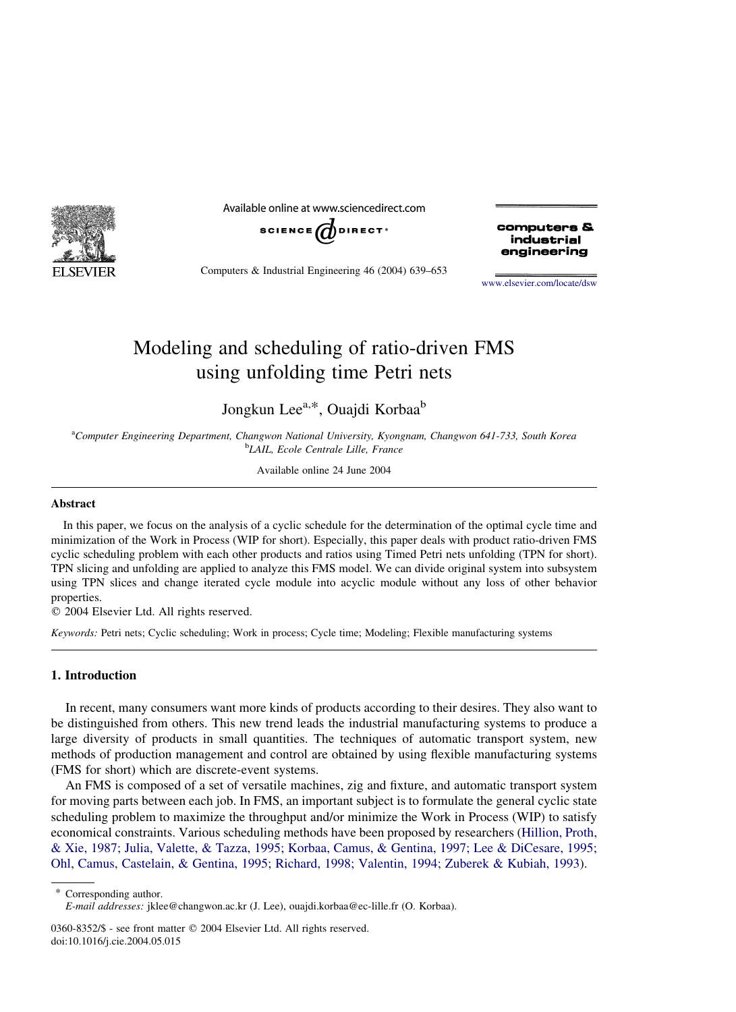

Available online at www.sciencedirect.com

$$
\texttt{science}(\overline{d}^{\texttt{DIRECT*}}
$$

computers & industrial engineering

Computers & Industrial Engineering 46 (2004) 639–653

[www.elsevier.com/locate/dsw](http://www.elsevier.com/locate/dsw)

## Modeling and scheduling of ratio-driven FMS using unfolding time Petri nets

Jongkun Lee<sup>a,\*</sup>, Ouajdi Korbaa<sup>b</sup>

<sup>a</sup>Computer Engineering Department, Changwon National University, Kyongnam, Changwon 641-733, South Korea <sup>b</sup>LAIL, Ecole Centrale Lille, France

Available online 24 June 2004

#### Abstract

In this paper, we focus on the analysis of a cyclic schedule for the determination of the optimal cycle time and minimization of the Work in Process (WIP for short). Especially, this paper deals with product ratio-driven FMS cyclic scheduling problem with each other products and ratios using Timed Petri nets unfolding (TPN for short). TPN slicing and unfolding are applied to analyze this FMS model. We can divide original system into subsystem using TPN slices and change iterated cycle module into acyclic module without any loss of other behavior properties.

 $© 2004 Elsevier Ltd. All rights reserved.$ 

Keywords: Petri nets; Cyclic scheduling; Work in process; Cycle time; Modeling; Flexible manufacturing systems

### 1. Introduction

In recent, many consumers want more kinds of products according to their desires. They also want to be distinguished from others. This new trend leads the industrial manufacturing systems to produce a large diversity of products in small quantities. The techniques of automatic transport system, new methods of production management and control are obtained by using flexible manufacturing systems (FMS for short) which are discrete-event systems.

An FMS is composed of a set of versatile machines, zig and fixture, and automatic transport system for moving parts between each job. In FMS, an important subject is to formulate the general cyclic state scheduling problem to maximize the throughput and/or minimize the Work in Process (WIP) to satisfy economical constraints. Various scheduling methods have been proposed by researchers ([Hillion, Proth,](#page--1-0) [& Xie, 1987; Julia, Valette, & Tazza, 1995; Korbaa, Camus, & Gentina, 1997; Lee & DiCesare, 1995;](#page--1-0) [Ohl, Camus, Castelain, & Gentina, 1995; Richard, 1998; Valentin, 1994; Zuberek & Kubiah, 1993](#page--1-0)).

Corresponding author.

E-mail addresses: jklee@changwon.ac.kr (J. Lee), ouajdi.korbaa@ec-lille.fr (O. Korbaa).

<sup>0360-8352/\$ -</sup> see front matter © 2004 Elsevier Ltd. All rights reserved. doi:10.1016/j.cie.2004.05.015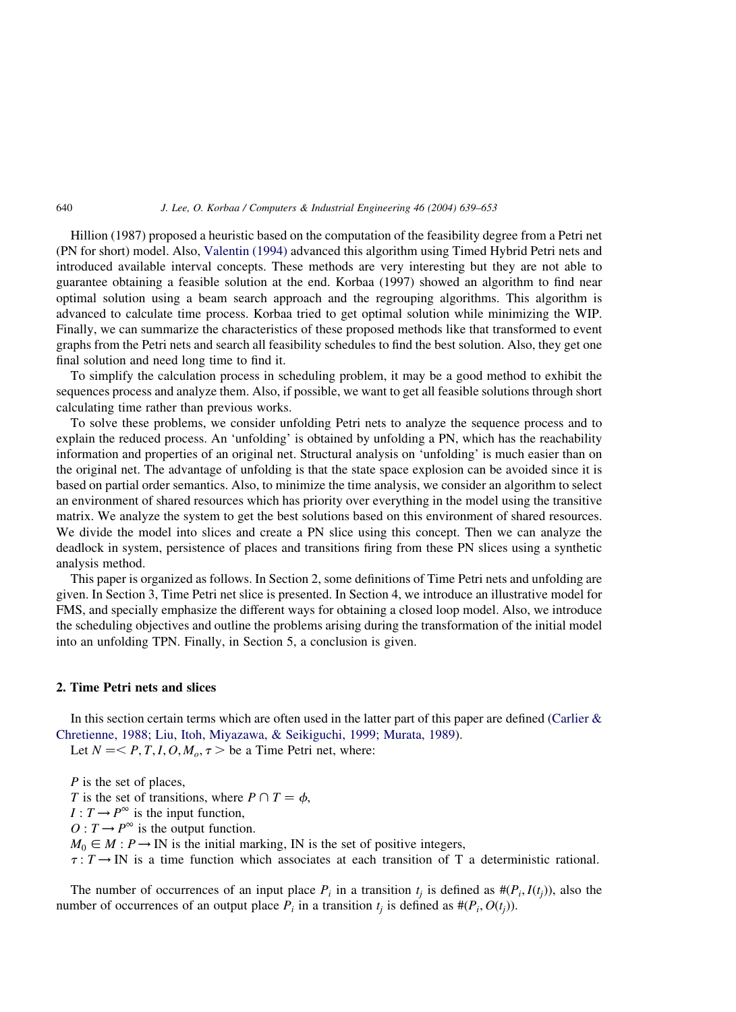#### 640 J. Lee, O. Korbaa / Computers & Industrial Engineering 46 (2004) 639–653

Hillion (1987) proposed a heuristic based on the computation of the feasibility degree from a Petri net (PN for short) model. Also, [Valentin \(1994\)](#page--1-0) advanced this algorithm using Timed Hybrid Petri nets and introduced available interval concepts. These methods are very interesting but they are not able to guarantee obtaining a feasible solution at the end. Korbaa (1997) showed an algorithm to find near optimal solution using a beam search approach and the regrouping algorithms. This algorithm is advanced to calculate time process. Korbaa tried to get optimal solution while minimizing the WIP. Finally, we can summarize the characteristics of these proposed methods like that transformed to event graphs from the Petri nets and search all feasibility schedules to find the best solution. Also, they get one final solution and need long time to find it.

To simplify the calculation process in scheduling problem, it may be a good method to exhibit the sequences process and analyze them. Also, if possible, we want to get all feasible solutions through short calculating time rather than previous works.

To solve these problems, we consider unfolding Petri nets to analyze the sequence process and to explain the reduced process. An 'unfolding' is obtained by unfolding a PN, which has the reachability information and properties of an original net. Structural analysis on 'unfolding' is much easier than on the original net. The advantage of unfolding is that the state space explosion can be avoided since it is based on partial order semantics. Also, to minimize the time analysis, we consider an algorithm to select an environment of shared resources which has priority over everything in the model using the transitive matrix. We analyze the system to get the best solutions based on this environment of shared resources. We divide the model into slices and create a PN slice using this concept. Then we can analyze the deadlock in system, persistence of places and transitions firing from these PN slices using a synthetic analysis method.

This paper is organized as follows. In Section 2, some definitions of Time Petri nets and unfolding are given. In Section 3, Time Petri net slice is presented. In Section 4, we introduce an illustrative model for FMS, and specially emphasize the different ways for obtaining a closed loop model. Also, we introduce the scheduling objectives and outline the problems arising during the transformation of the initial model into an unfolding TPN. Finally, in Section 5, a conclusion is given.

#### 2. Time Petri nets and slices

In this section certain terms which are often used in the latter part of this paper are defined (Carlier  $\&$ [Chretienne, 1988; Liu, Itoh, Miyazawa, & Seikiguchi, 1999; Murata, 1989\)](#page--1-0).

Let  $N = < P, T, I, O, M_o, \tau >$  be a Time Petri net, where:

P is the set of places,

T is the set of transitions, where  $P \cap T = \phi$ ,

 $I: T \rightarrow P^{\infty}$  is the input function,

 $O: T \rightarrow P^{\infty}$  is the output function.

 $M_0 \n\in M : P \rightarrow \mathbb{N}$  is the initial marking, IN is the set of positive integers,

 $\tau : T \to \mathbb{N}$  is a time function which associates at each transition of T a deterministic rational.

The number of occurrences of an input place  $P_i$  in a transition  $t_i$  is defined as  $#(P_i, I(t_i))$ , also the number of occurrences of an output place  $P_i$  in a transition  $t_i$  is defined as  $\#(P_i, O(t_i))$ .